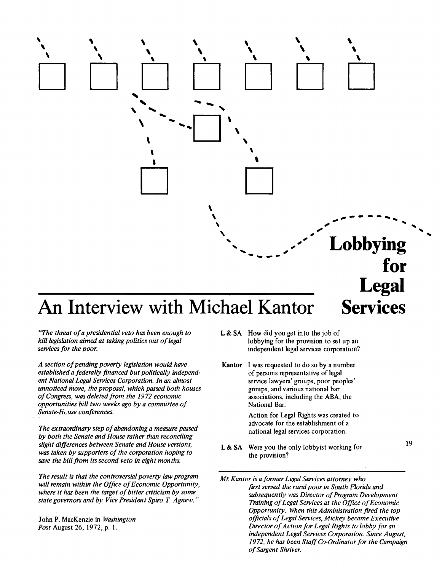

## An Interview with Michael Kantor Services

*"The threat of a presidential veto has been enough to kill legislation aimed at taking politics out of legal services for the poor.* 

*A section of pending poverty legislation would have established a federally financed but politically independent National Legal Services Corporation. In an almost unnoticed move, the proposal, which passed both houses of Congress, was deleted from the 1972 economic opportunities bill two weeks ago by a committee of Senate-H. use conferences.* 

*The extraordinary step of abandoning a measure passed by both the Senate and House rather than reconciling slight differences between Senate and House versions, was taken by supporters of the corporation hoping to save the bill from its second veto in eight months.* 

*The result is that the controversial poverty law program will remain within the Office of Economic Opportunity, where it has been the target of bitter criticism by some state governors and by Vice President Spiro T Agnew."* 

John P. MacKenzie in *Washington Post* August 26, 1972, p. I.

- **L** & SA How did you get into the job of lobbying for the provision to set up an independent legal services corporation?
- **Kantor** I was requested to do so by a number of persons representative of legal service lawyers' groups, poor peoples' groups, and various national bar associations, including the ABA, the National Bar.

Action for Legal Rights was created to advocate for the establishment of a national legal services corporation.

**L** & SA Were you the only lobbyist working for the provision?

*Mr. Kantor is a former Legal Services attorney who first served the rural poor in South Florida and subsequently was Director of Program Development Training of Legal Services at the Office of Economic Opportunity. When this Administration fired the top officials of Legal Services, Mickey became Executive Director of Action for Legal Rights to lobby for an independent Legal Services Corporation. Since August, 1972, he has been Staff Co-Ordinator for the Campaign of Sargent Shriver.* 

19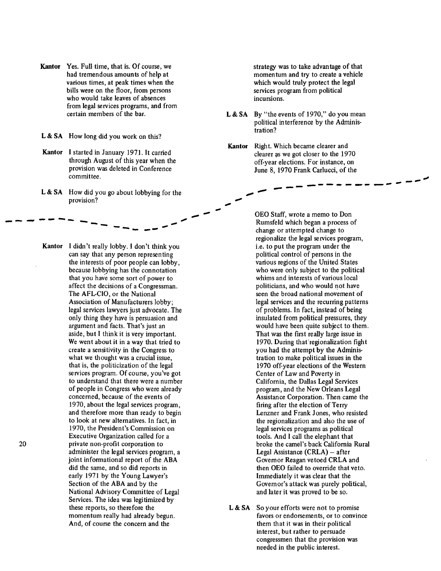Kantor Yes. Full time, that is. Of course, we had tremendous amounts of help at various times, at peak times when the bills were on the floor, from persons who would take leaves of absences from legal services programs, and from certain members of the bar.

L & SA How long did you work on this?

- Kantor I started in January 1971. It carried through August of this year when the provision was deleted in Conference committee.
- **L & SA** How did you go about lobbying for the provision?

\_\_ ,\_,-~-- .... --- --- ----

Kantor I didn't really lobby. I don't think you can say that any person representing the interests of poor people can lobby, because lobbying has the connotation that you have some sort of power to affect the decisions of a Congressman. The AFL-CIO, or the National Association of Manufacturers lobby; legal services lawyers just advocate. The only thing they have is persuasion and argument and facts. That's just an aside, but l think it is very important. We went about it in a way that tried to create a sensitivity in the Congress to what we thought was a crucial issue, that is, the politicization of the legal services program. Of course, you've got to understand that there were a number of people in Congress who were already concerned, because of the events of 1970, about the legal services program, and therefore more than ready to begin to look at new alternatives. In fact, in 1970, the President's Commission on Executive Organization called for a 20 private non-profit corporation to administer the legal services program, a joint informational report of the ABA did the same, and so did reports in early 1971 by the Young Lawyer's Section of the ABA and by the National Advisory Committee of Legal Services. The idea was legitimized by these reports, so therefore the momentum really had already begun. And, of course the concern and the

strategy was to take advantage of that momentum and try to create a vehicle which would truly protect the legal services program from political incursions.

-----

- **L & SA** By "the events of 1970," do you mean political interference by the Administration?
- Kantor Right. Which became clearer and clearer as we got closer to the 1970 off-year elections. For instance, on June 8, 1970 Frank Carlucci, of the -------- -- - .,,,,,. --

---

OEO Staff, wrote a memo to Don Rumsfeld which began a process of change or attempted change to regionalize the legal services program, i.e. to put the program under the political control of persons in the various regions of the United States who were only subject to the political whims and interests of various local politicians, and who would not have seen the broad national movement of legal services and the recurring patterns of problems. In fact, instead of being insulated from political pressures, they would have been quite subject to them. That was the first really large issue in 1970. During that'regionalization fight you had the attempt by the Administration to make political issues in the 1970 off-year elections of the Western Center of Law and Poverty in California, the Dallas Legal Services program, and the New Orleans Legal Assistance Corporation. Then came the firing after the election of Terry Lenzner and Frank Jones, who resisted the regionalization and also the use of legal services programs as political tools. And I call the elephant that broke the camel's back California Rural Legal Assistance  $(CRLA) - after$ Governor Reagan vetoed CRLA and then OEO failed to override that veto. Immediately it was clear that the Governor's attack was purely political, and later it was proved to be so.

L & SA So your efforts were not to promise favors or endorsements, or to convince them that it was in their political interest, but rather to persuade congressmen that the provision was needed in the public interest.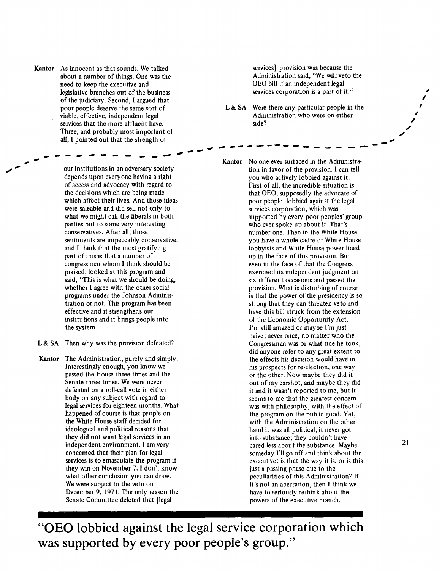**Kantor** As innocent as that sounds. We talked about a number of things. One was the need to keep the executive and legislative branches out of the business of the judiciary. Second, I argued that poor people deserve the same sort of viable, effective, independent legal services that the more affluent have. Three, and probably most important of all, I pointed out that the strength of

 $- - - - - - - - - -$ <br>our institutions in an adversary society depends upon everyone having a right of access and advocacy with regard to the decisions which are being made which affect their lives. And those ideas were saleable and did sell not only to what we might call the liberals in both parties but to some very interesting conservatives. After all, those sentiments are impeccably conservative, and I think that the most gratifying part of this is that a number of congressmen whom I think should be praised, looked at this program and said, "This is what we should be doing, whether I agree with the other social programs under the Johnson Administration or not. This program has been effective and it strengthens our institutions and it brings people into the system."

- L & SA Then why was the provision defeated?
- **Kantor** The Administration, purely and simply. Interestingly enough, you know we passed the House three times and the Senate three times. We were never defeated on a roll-call vote in either body on any subject with regard to legal services for eighteen months. What happened of course is that people on the White House staff decided for ideological and political reasons that they did not want legal services in an independent environment. I am very concerned that their plan for legal services is to emasculate the program if they win on November 7. I don't know what other conclusion you can draw. We were subject to the veto on December 9, 1971. The only reason the Senate Committee deleted that [legal

services] provision was because the Administration said, "We will veto the OEO bill if an independent legal services corporation is a part of it."

**L & SA** Were there any particular people in the Administration who were on either side?

............... -------- -- .\_-

**Kantor** No one ever surfaced in the Administration in favor of the provision. I can tell you who actively lobbied against it. First of all, the incredible situation is that OEO, supposedly the advocate of poor people, lobbied against the legal services corporation, which was supported by every poor peoples' group who ever spoke up about it. That's number one. Then in the White House you have a whole cadre of White House lobbyists and White House power lined up in the face of this provision. But even in the face of that the Congress exercised its independent judgment on six different occasions and passed the provision. What is disturbing of course is that the power of the presidency is so strong that they can threaten veto and have this bill struck from the extension of the Economic Opportunity Act. I'm still amazed or maybe I'm just naive; never once, no matter who the Congressman was or what side he took, did anyone refer to any great extent to the effects his decision would have in his prospects for re-election, one way or the other. Now maybe they did it out of my earshot, and maybe they did it and it wasn't reported to me, but it seems to me that the greatest concern was with philosophy, with the effect of the program on the public good. Yet, with the Administration on the other hand it was all political; it never got into substance; they couldn't have cared less about the substance. Maybe someday I'll go off and think about the executive: is that the way it is, or is this just a passing phase due to the peculiarities of this Administration? If it's not an aberration, then I think we have to seriously rethink about the powers of the executive branch.

**"OEO lobbied against the legal service corporation which was supported by every poor people's group."** 

, I I

 $\overline{a}$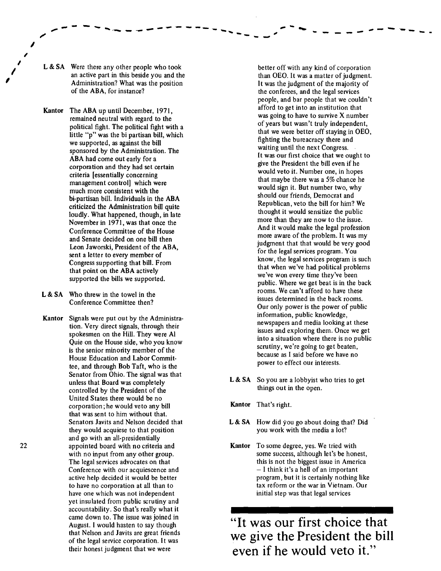L & SA Were there any other people who took an active part in this beside you and the Administration? What was the position of the ABA, for instance?

Kantor The ABA up until December, 1971, remained neutral with regard to the political fight. The political fight with a little "p" was the bi partisan bill, which we supported, as against the bill sponsored by the Administration. The ABA had come out early for a corporation and they had set certain criteria [essentially concerning management control] which were much more consistent with the bi-partisan bill. Individuals in the ABA criticized the Administration bill quite loudly. What happened, though, in late November in 1971, was that once the Conference Committee of the House and Senate decided on one bill then Leon Jaworski, President of the ABA, sent a letter to every member of Congress supporting that bill. From that point on the ABA actively supported the bills we supported.

- L & SA Who threw in the towel in the Conference Committee then?
- Kantor Signals were put out by the Administration. Very direct signals, through their spokesmen on the Hill. They were Al Quie on the House side, who you know is the senior minority member of the House Education and Labor Committee, and through Bob Taft, who is the Senator from Ohio. The signal was that unless that Board was completely controlled by the President of the United States there would be no corporation; he would veto any bill that was sent to him without that. Senators Javits and Nelson decided that they would acquiese to that position and go with an all-presidentially appointed board with no criteria and with no input from any other group. The legal services advocates on that Conference with our acquiescence and active help decided it would be better to have no corporation at all than to have one which was not independent yet insulated from public scrutiny and accountability. So that's really what it came down to. The issue was joined in August. I would hasten to say though that Nelson and Javits are great friends of the legal service corporation. It was their honest judgment that we were

better off with any kind of corporation than OEO. It was a matter of judgment. It was the judgment of the majority of the conferees, and the legal services people, and bar people that we couldn't afford to get into an institution that was going to have to survive X number of years but wasn't truly independent, that we were better off staying in OEO, fighting the bureacracy there and waiting until the next Congress. It was our first choice that we ought to give the President the bill even if he would veto it. Number one, in hopes that maybe there was a 5% chance he would sign it. But number two, why should our friends, Democrat and Republican, veto the bill for him? We thought it would sensitize the public more than they are now to the issue. And it would make the legal profession more aware of the problem. It was my judgment that that would be very good for the legal services program. You know, the legal services program is such that when we've had political problems we've won every time they've been public. Where we get beat is in the back rooms. We can't afford to have these issues determined in the back rooms. Our only power is the power of public information, public knowledge, newspapers and media looking at these issues and exploring them. Once we get into a situation where there is no public scrutiny, we're going to get beaten, because as I said before we have no power to effect our interests.

.... --- -- -.... \_ ,. -.... .\_ - - - ---- -

·- - --

- L & SA So you are a lobbyist who tries to get things out in the open.
- Kantor That's right.
- L & SA How did you go about doing that? Did you work with the media a lot?
- Kantor To some degree, yes. We tried with some success, although let's be honest, this is not the biggest issue in America - I think it's a hell of an important program, but it is certainly nothing like tax reform or the war in Vietnam. Our initial step was that legal services

"It was our first choice that we give the President the bill even if he would veto it."

I I

I

,

I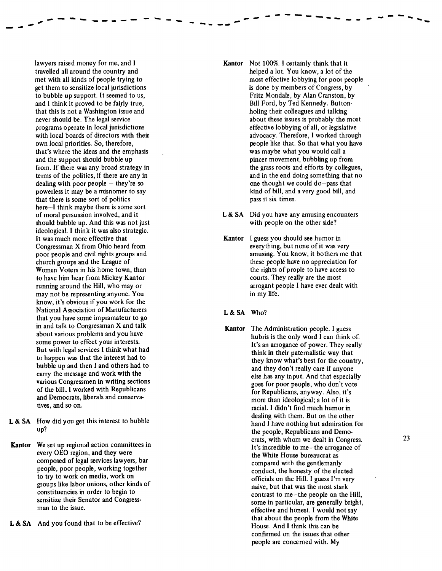lawyers raised money for me, and I travelled all around the country and met with all kinds of people trying to get them to sensitize local jurisdictions to bubble up support. It seemed to us, and I think it proved to be fairly true, that this is not a Washington issue and never should be. The legal service programs operate in local jurisdictions with local boards of directors with their own local priorities. So, therefore, that's where the ideas and the emphasis and the support should bubble up from. If there was any broad strategy in terms of the politics, if there are any in dealing with poor people  $-$  they're so powerless it may be a misnomer to say that there is some sort of politics here-I think maybe there is some sort of moral persuasion involved, and it should bubble up. And this was not just ideological. I think it was also strategic. It was much more effective that Congressman X from Ohio heard from poor people and civil rights groups and church groups and the League of Women Voters in his home town, than to have him hear from Mickey Kantor running around the Hill, who may or may not be representing anyone. You know, it's obvious if you work for the National Association of Manufacturers that you have some impramateur to go in and talk to Congressman X and talk about various problems and you have some power to effect your interests. But with legal services I think what had to happen was that the interest had to bubble up and then I and others had to carry the message and work with the various Congressmen in writing sections of the bill. I worked with Republicans and Democrats, liberals and conservatives, and so on.

,,,,--.\_ ,.., .... ....\_ \_\_\_\_ -- ..... - .....

- --

- **L & SA** How did you get this interest to bubble up?
- Kantor We set up regional action committees in every OEO region, and they were composed of legal services lawyers, bar people, poor people, working together to try to work on media, work on groups like labor unions, other kinds of constituencies in order to begin to sensitize their Senator and Congressman to the issue.
- L & SA And you found that to be effective?

Kantor Not 100%. I certainly think that it helped a lot. You know, a lot of the most effective lobbying for poor people is done by members of Congress, by Fritz Mondale, by Alan Cranston, by Bill Ford, by Ted Kennedy. Buttonholing their colleagues and talking about these issues is probably the most effective lobbying of all, or legislative advocacy. Therefore, I worked through people like that. So that what you have was maybe what you would call a pincer movement, bubbling up from the grass roots and efforts by collegues, and in the end doing something that no one thought we could do-pass that kind of bill, and a very good bill, and pass it six times.

- -- *-- - - -* - - - - - . .

L & SA Did you have any amusing encounters with people on the other side?

Kantor I guess you should see humor in everything, but none of it was very amusing. You know, it bothers me that these people have no appreciation for the rights of prople to have access to courts. They really are the most arrogant people I have ever dealt with in my life.

## L& SA Who?

Kantor The Administration people. I guess hubris is the only word I can think of. It's an arrogance of power. They really think in their paternalistic way that they know what's best for the country, and they don't really care if anyone else has any input. And that especially goes for poor people, who don't vote for Republicans, anyway. Also, it's more than ideological; a lot of it is racial. I didn't find much humor in dealing with them. But on the other hand I have nothing but admiration for the people, Republicans and Democrats, with whom we dealt in Congress. It's incredible to me-the arrogance of the White House bureaucrat as compared with the gentlemanly conduct, the honesty of the elected officials on the Hill. I guess I'm very naive, but that was the most stark contrast to me-the people on the Hill, some in particular, are generally bright, effective and honest. I would not say that about the people from the White House. And I think this can be confirmed on the issues that other people are concerned with. My

...... --- .... ....\_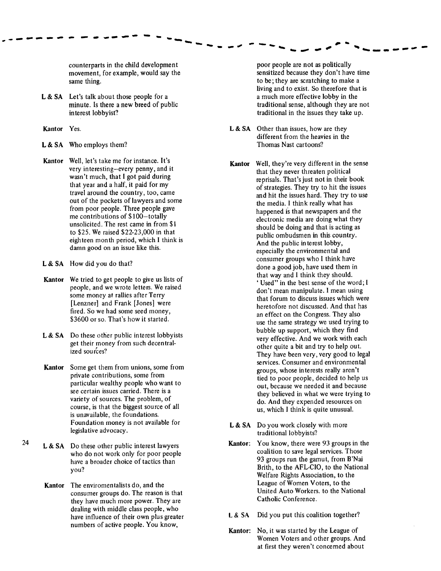counterparts in the child development movement, for example, would say the same thing.

**L&SA** Let's talk about those people for a minute. Is there a new breed of public interest lobbyist?

....................

- **Kantor** Yes.
- **L&SA** Who employs them?
- **Kantor** Well, let's take me for instance. It's very interesting-every penny, and it wasn't much, that I got paid during that year and a half, it paid for my travel around the country, too, came out of the pockets of lawyers and some from poor people. Three people gave me contributions of \$100-totally unsolicited. The rest came in from \$1 to \$25. We raised \$22-23,000 in that eighteen month period, which I think is damn good on an issue like this.
- **L&SA** How did you do that?
- **Kantor** We tried to get people to give us lists of people, and we wrote letters. We raised some money at rallies after Terry [Lenzner] and Frank [Jones] were fired. So we had some seed money, \$3600 or so. That's how it started.
- L & SA Do these other public interest lobbyists get their money from such decentralized sources?
- **Kantor** Some get them from unions, some from private contributions, some from particular wealthy people who want to see certain issues carried. There is a variety of sources. The problem, of course, is that the biggest source of all is unavailable, the foundations. Foundation money is not available for legislative advocacy.
- <sup>24</sup>**L&SA** Do these other public interest lawyers who do not work only for poor people have a broader choice of tactics than you?
	- **Kantor** The enviromentalists do, and the consumer groups do. The reason is that they have much more power. They are dealing with middle class people, who have influence of their own plus greater numbers of active people. You know,

poor people are not as politically sensitized because they don't have time to be; they are scratching to make a living and to exist. So therefore that is a much more effective lobby in the traditional sense, although they are not traditional in the issues they take up.

-<br>---*--* ----<sub>-</sub>-*---*------

- **L&SA** Other than issues, how are they different from the heavies in the Thomas Nast cartoons?
- **Kantor** Well, they're very different in the sense that they never threaten political reprisals. That's just not in their book of strategies. They try to hit the issues and hit the issues hard. They try to use the media. I think really what has happened is that newspapers and the electronic media are doing what they should be doing and that is acting as public ombudsmen in this country. And the public interest lobby, especially the environmental and consumer groups who I think have done a good job, have used them in that way and I think they should. 'Used" in the best sense of the word; I don't mean manipulate. I mean using that forum to discuss issues which were heretofore not discussed. And that has an effect on the Congress. They also use the same strategy we used trying to bubble up support, which they find very effective. And we work with each other quite a bit and try to help out. They have been very, very good to legal services. Consumer and environmental groups, whose interests really aren't tied to poor people, decided to help us out, because we needed it and because they believed in what we were trying to do. And they expended resources on us, which I think is quite unusual.
- L & SA Do you work closely with more traditional lobbyists?
- **Kantor:** You know, there were 93 groups in the coalition to save legal services. Those 93 groups run the gamut, from B'Nai Brith, to the AFL-CIO, to the National Welfare Rights Association, to the League of Women Voters, to the United Auto Workers. to the National Catholic Conference.
- **L & SA** Did you put this coalition together?
- **Kantor:** No, it was started by the League of Women Voters and other groups. And at first they weren't concerned about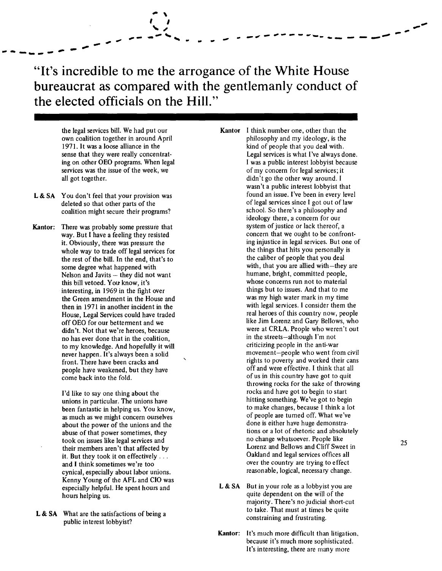------*---* --<sup>---</sup> "It's incredible to me the arrogance of the White House bureaucrat as compared with the gentlemanly conduct of the elected officials on the Hill."

I I '" ~ --'--.\_ .. - - -.,..,, -- ,,, .. --...... \_ -- - .\_, -----

 $\ddot{\phantom{1}}$ 

own coalition together in around April 1971. It was a loose alliance in the 1971. It was a loose alliance in the kind of people that you deal with.<br>Sense that they were really concentrat-<br>Legal services is what I've always d ing on other OEO programs. When legal services was the issue of the week, we services was the issue of the week, we of my concern for legal services; it<br>all got together. didn't go the other way around. I

- L & SA You don't feel that your provision was found an issue. I've been in every level<br>deleted so that other parts of the servel been used for the services since I got out of law coalition might secure their programs?
- **Kantor:** There was probably some pressure that system of justice or lack thereof, a<br>system of justice or lack thereof, a<br>concern that we ought to be confrontwhole way to trade off legal services for the things that hits you personally the rest of the bill In the end that's to the caliber of people that you deal the rest of the bill. In the end, that's to some degree what happened with Nelson and Javits – they did not want humane, bright, committed people,<br>this bill vetoed You know it's whose concerns run not to material this bill vetoed. You know, it's<br>interesting in 1969 in the fight over<br>things but to issues. And that to me interesting, in 1969 in the fight over the state of things but to issues. And that to me<br>the Green amendment in the House and the was my high water mark in my time didn't. Not that we're heroes, because were at CRLA. People who were<br>no has ever done that in the coalition in the streets—although I'm not no has ever done that in the coalition,<br>to my knowledge. And honefully it will exit is exit in the streets-although I'm not people have weakened, but they have

about the power of the unions and the their members aren't that affected by cynical, especially about labor unions. Kenny Young of the AFL and CIO was

what are the satisfactions of being a<br>public interest lobbyist?

the legal services bill. We had put our **Kantor** I think number one, other than the own coalition together in around April Legal services is what I've always done.<br>I was a public interest lobbyist because didn't go the other way around. I wasn't a public interest lobbyist that<br>found an issue. I've been in every level deleted so that other parts of the of legal services since I got out of law<br>
coalition might secure their programs?<br>
School. So there's a philosophy and ideology there, a concern for our<br>system of justice or lack thereof, a way. But I have a feeling they resisted concern that we ought to be confront-<br>it Obviously there was pressure the service in legal services. But one of it. Obviously, there was pressure the individual ing injustice in legal services. But one of the off legal services for the things that hits you personally is with, that you are allied with-they are humane, bright, committed people, the Green amendment in the House and<br>then in 1971 in another incident in the with legal services. I consider them the then in 1971 in another incident in the with legal services. I consider them the<br>House Legal Services could have traded and the real heroes of this country now, people House, Legal Services could have traded real heroes of this country now, people<br>off OEO for our betterment and we real heroes of this country and Gary Bellows, who off OEO for our betterment and we like Jim Lorenz and Gary Bellows, who<br>didn't Not that we're beroes because and some versual were at CRLA. People who weren't out to my knowledge. And hopefully it will criticizing people in the anti-war<br>never hannen. It's always been a solid movement-people who went from civil never happen. It's always been a solid movement-people who went from civil<br>front There have been cracks and front. There have been cracks and from the rights to poverty and worked their can<br>regard heavy regard the rights to power the rights to power their canss people have weakened but they have come back into the fold. throwing rocks for the sake of throwing I'd like to say one thing about the rocks and have got to begin to start unions in particular. The unions have hitting something. We've got to begin<br>heen fantastic in helping us You know to make changes, because I think a lot been fantastic in helping us. You know,<br>as much as we might concern ourselves of people are turned off. What we've as much as we might concern ourselves of people are turned off. What we've<br>about the power of the unions and the settle of the unions and the settle about the power of the unions and the abuse of that power sometimes, they tions or a lot of rhetoric and absolutely took on issues like legal services and the content of rhetoric and the content of the content of the content of the content of the content of th took on issues like legal services and<br>their members aren't that affected by the non-their members aren't that affected by the non-their members aren't that affected by it. But they took it on effectively ... Oakland and legal services offices all and I think sometimes we're too wer the country are trying to effect over the country are trying to effect<br>reasonable, logical, necessary change.

- especially helpful. He spent hours and L&SA But in your role as a lobbyist you are hours helping us. The contract of the dependent on the will of the hours helping us. majority. There's no judicial short-cut **L & SA** What are the satisfactions of being a to take. That must at times be quite and functions of  $\frac{1}{2}$ 
	- Kantor: It's much more difficult than litigation. because it's much more sophisticated. It's interesting, there are many more

----